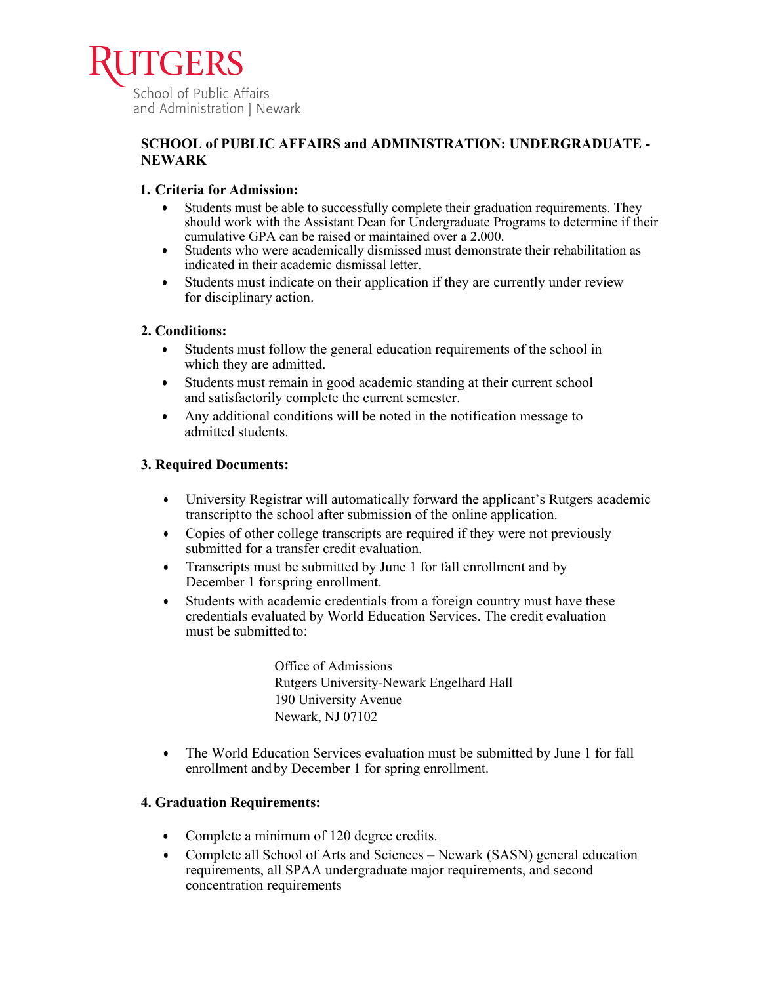

## **SCHOOL of PUBLIC AFFAIRS and ADMINISTRATION: UNDERGRADUATE - NEWARK**

## **1. Criteria for Admission:**

- Students must be able to successfully complete their graduation requirements. They should work with the Assistant Dean for Undergraduate Programs to determine if their cumulative GPA can be raised or maintained over a 2.000.
- Students who were academically dismissed must demonstrate their rehabilitation as indicated in their academic dismissal letter.
- Students must indicate on their application if they are currently under review for disciplinary action.

## **2. Conditions:**

- Students must follow the general education requirements of the school in which they are admitted.
- Students must remain in good academic standing at their current school and satisfactorily complete the current semester.
- Any additional conditions will be noted in the notification message to admitted students.

## **3. Required Documents:**

- University Registrar will automatically forward the applicant's Rutgers academic transcriptto the school after submission of the online application.
- Copies of other college transcripts are required if they were not previously submitted for a transfer credit evaluation.
- Transcripts must be submitted by June 1 for fall enrollment and by December 1 forspring enrollment.
- Students with academic credentials from a foreign country must have these credentials evaluated by World Education Services. The credit evaluation must be submitted to:

Office of Admissions Rutgers University-Newark Engelhard Hall 190 University Avenue Newark, NJ 07102

• The World Education Services evaluation must be submitted by June 1 for fall enrollment andby December 1 for spring enrollment.

# **4. Graduation Requirements:**

- Complete a minimum of 120 degree credits.
- Complete all School of Arts and Sciences Newark (SASN) general education requirements, all SPAA undergraduate major requirements, and second concentration requirements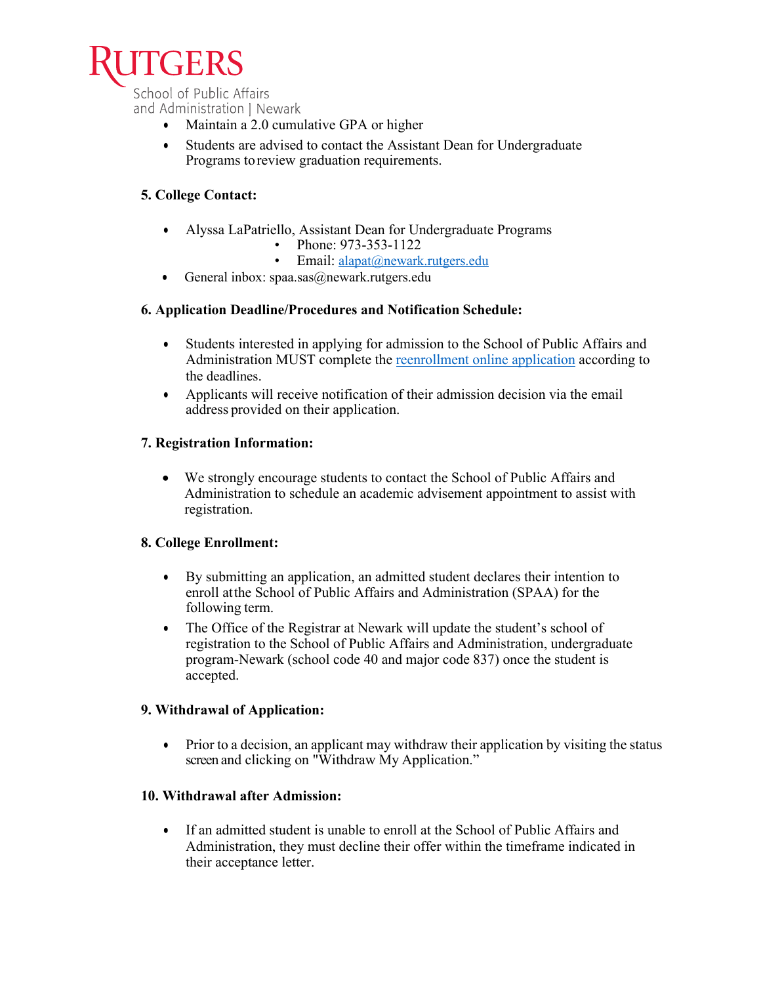

School of Public Affairs and Administration | Newark

- Maintain a 2.0 cumulative GPA or higher
- Students are advised to contact the Assistant Dean for Undergraduate Programs toreview graduation requirements.

# **5. College Contact:**

- Alyssa LaPatriello, Assistant Dean for Undergraduate Programs
	- Phone: 973-353-1122
	- Email: alapat@newark.rutgers.edu
- General inbox:  $spaa.sas@newark.rutgers.edu$

## **6. Application Deadline/Procedures and Notification Schedule:**

- Students interested in applying for admission to the School of Public Affairs and Administration MUST complete the reenrollment [online application](https://www.ugadmissions.rutgers.edu/reenrollment/) according to the deadlines.
- Applicants will receive notification of their admission decision via the email address provided on their application.

## **7. Registration Information:**

• We strongly encourage students to contact the School of Public Affairs and Administration to schedule an academic advisement appointment to assist with registration.

#### **8. College Enrollment:**

- By submitting an application, an admitted student declares their intention to enroll atthe School of Public Affairs and Administration (SPAA) for the following term.
- The Office of the Registrar at Newark will update the student's school of registration to the School of Public Affairs and Administration, undergraduate program-Newark (school code 40 and major code 837) once the student is accepted.

#### **9. Withdrawal of Application:**

• Prior to a decision, an applicant may withdraw their application by visiting the status screen and clicking on "Withdraw My Application."

## **10. Withdrawal after Admission:**

• If an admitted student is unable to enroll at the School of Public Affairs and Administration, they must decline their offer within the timeframe indicated in their acceptance letter.